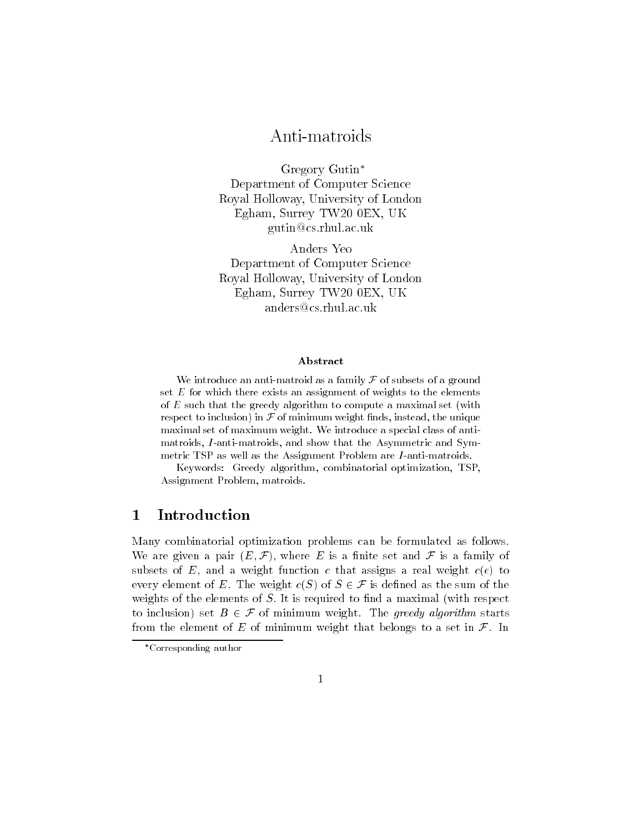# Anti-matroids

Gregory Gutin Department of Computer Science Royal Holloway- University of London Egham- Surrey TW EX- UK gutin@cs.rhul.ac.uk

Anders Yeo Department of Computer Science - University of London, and London and London — Announced to the surface of two extensive contracts of the surface of the surface of the surface of the surface of the surface of the surface of the surface of the surface of the surface of the surface of the surface of t anders@cs.rhul.ac.uk

### Abstract

we introduce an anti-structure as a family  $\mathbf{r}$  as a family for a ground set  $E$  for which there exists an assignment of weights to the elements of  $E$  such that the greedy algorithm to compute a maximal set (with respect to inclusion) in  $\mathcal F$  of minimum weight finds, instead, the unique maximal set of maximum weight. We introduce a special class of antimatroids and show that the Asymmetric and Symmetric and Symmetric and Symmetric and Symmetric and Symmetric an metric TSP as well as the Assignment Problem are I-metric metric are I-metric and

Keywords: Greedy algorithm, combinatorial optimization, TSP, Assignment Problem, matroids.

## Introduction

Many combinatorial optimization problems can be formulated as follows- $\mathcal{F}_1$ , where  $\mathcal{F}_2$  is a nite set and  $\mathcal{F}_2$  is a family of  $\mathcal{F}_3$  is a set and  $\mathcal{F}_4$  is a family of subsets of E, and a weight function c that assigns a real weight  $c(e)$  to every element of E- The weight cS of <sup>S</sup> - F is dened as the sum of the weights of the elements of  $S$ . It is required to find a maximal (with respect to inclusion, also be discussed and management of the green, weight-the starts of from the element of <sup>E</sup> of minimum weight that belongs to a set in F- In

Corresponding author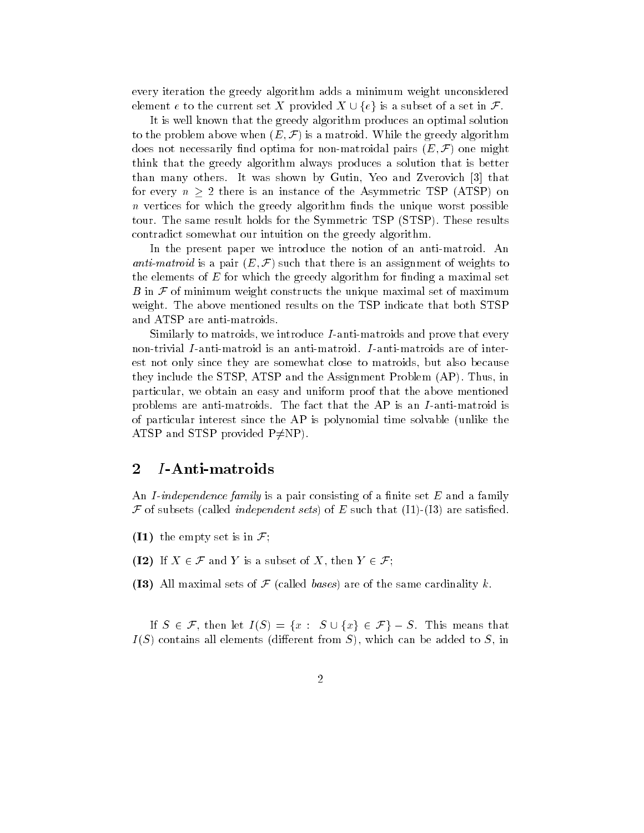every iteration the greedy algorithm adds a minimum weight unconsidered element e to the current set X provided  $X \cup \{e\}$  is a subset of a set in  $\mathcal{F}$ .

It is well known that the greedy algorithm produces an optimal solution to the problem above when E - F is a matroid- While the greedy algorithm does not necessarily mid optima for non-matricial pairs (1940) one might think that the greedy algorithm always produces a solution that is better than many others-induced  $\mathbf{I}$  was shown by Gutin Yeo and Zverovich  $\mathbf{I}$ for every  $n > 2$  there is an instance of the Asymmetric TSP (ATSP) on  $\,n\,$  vertices for which the greedy algorithm finds the unique worst possible tour- the summer results for the Symmetric TSP State (to the Symmetric Township contradict somewhat our intuition on the greedy algorithm-

In the present paper we introduce the notion of an antimatroid- An anti-matroid is a pair E - F such that there is an assignment of weights to the elements of E for which the greedy algorithm for finding a maximal set B in F of minimum weight constructs the unique maximal set of maximum we have mentioned results on the above mentioned results on the TSP indicate that both STSP indicate that both STSP indicate that  $\mathcal{M}$ and ATSP are anti-matroids.

Similarly to matroids, we introduce I-anti-matroids and prove that every est not only since they are somewhat close to matroids, but also because the STSP and the STSP and the STSP ATSP and the Assignment Problem AP- $\sim$  10  $\pm$ particular, we obtain an easy and uniform proof that the above mentioned problems are anti-matrix are antimatroids-that the fact that the AP is an I and I and I and I an I an of particular interest since the AP is polynomial time solvable unlike the ATSP and STSP provided  $P \neq NP$ .

#### $\overline{2}$  $I$ -Anti-matroids

An I-independence family is a pair consisting of a finite set  $E$  and a family <sup>F</sup> of subsets called independent sets of <sup>E</sup> such that II are satised-

- I- the empty set is in F
- I If <sup>X</sup> F and <sup>Y</sup> is a subset of X then <sup>Y</sup> F
- (I3) All maximal sets of  $\mathcal F$  (called bases) are of the same cardinality k.

If S  $\sim$  . It is the set is that is the set in the set is that is the set in the set of  $\sim$  . It is that is that is that is the set of  $\sim$  $I(S)$  contains all elements (different from S), which can be added to S, in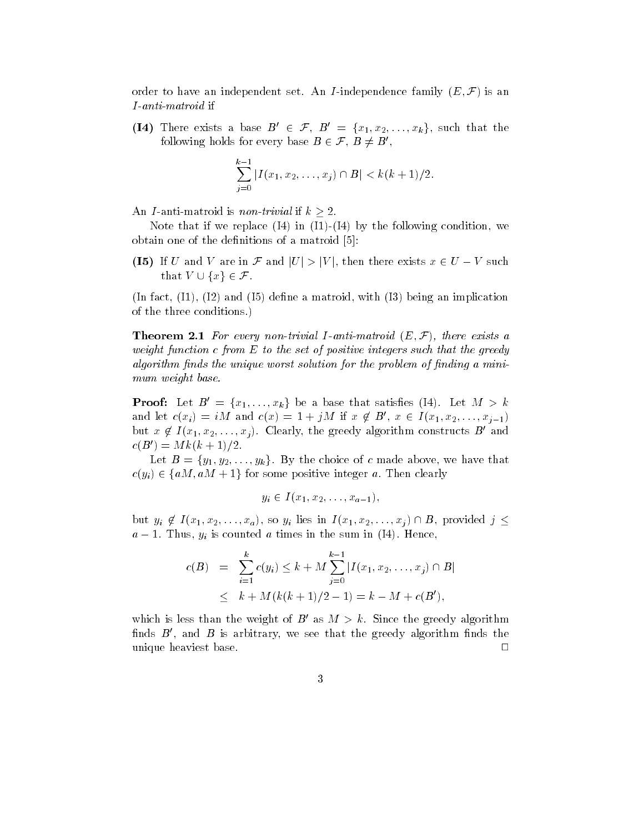order to have an independent set-rain rindependent set-rain printing  $\mathbf{r} = \mathbf{r}$ 

(14) Inere exists a pase  $B \in \mathcal{F}, B \equiv \{x_1, x_2, \ldots, x_k\},$  such that the following holds for every pase  $B \in \mathcal{F}$ ,  $B \not\equiv B$ ,

$$
\sum_{j=0}^{k-1} |I(x_1, x_2, \dots, x_j) \cap B| < k(k+1)/2.
$$

Note that if we replace  $(I4)$  in  $(I1)$ - $(I4)$  by the following condition, we obtain one of the definitions of a matroid  $[5]$ :

I I I U and V are in F and V are in F and J in F and the such the such that  $\mathcal{L}$ that <sup>V</sup> fxg-F-

In fact, in fact, in the matrix  $\mathbf{H} = \mathbf{H} \mathbf{H}$  is a matrix  $\mathbf{H} = \mathbf{H} \mathbf{H}$  in the matrix of  $\mathbf{H}$ of the three conditions-three  $\mathbf{r}$ 

 $\blacksquare$  . The  $\blacksquare$  is a set of the contract the contract  $\blacksquare$  . The set of  $\blacksquare$  is a set of  $\blacksquare$  . The set of  $\blacksquare$ weight function c from  $E$  to the set of positive integers such that the greedy algorithm finds the unique worst solution for the problem of finding a minimum weight base.

**Proof:** Let  $B_1 = \{x_1, \ldots, x_k\}$  be a base that satisfies (14). Let  $M > k$ and let  $c(x_i) = iM$  and  $c(x) = 1 + jM$  if  $x \notin B$ ,  $x \in I(x_1, x_2, \ldots, x_{j-1})$ but  $x \notin I(x_1, x_2, \ldots, x_j)$ . Clearly, the greedy algorithm constructs  $B$  and  $c(D) = M k(k+1)/2.$ 

 $\mathbf{E}$  by  $\mathbf{E}$  is the function of  $\mathbf{E}$  and  $\mathbf{E}$  and  $\mathbf{E}$  are detected above, we have that  $\alpha$  (31)  $\alpha$  fam- fam- positive integer at  $\alpha$  and  $\alpha$   $\alpha$ 

$$
y_i \in I(x_1, x_2, \ldots, x_{a-1}),
$$

 $\alpha$  is  $\alpha$  in  $\alpha$  in  $\alpha$  in  $\alpha$  in  $\alpha$  in  $\alpha$  in  $\alpha$  in  $\alpha$  in  $\alpha$  in  $\alpha$  in  $\alpha$  in  $\alpha$  in  $\alpha$  in  $\alpha$  in  $\alpha$  in  $\alpha$  in  $\alpha$  in  $\alpha$  in  $\alpha$  in  $\alpha$  in  $\alpha$  in  $\alpha$  in  $\alpha$  in  $\alpha$  in  $\alpha$  in  $\alpha$  in  $\alpha$  a - Thus is counted a time in the sum in I-man when  $\mathcal{I}=\{1,2,3,4,5,6,7\}$ 

$$
c(B) = \sum_{i=1}^{k} c(y_i) \le k + M \sum_{j=0}^{k-1} |I(x_1, x_2, \dots, x_j) \cap B|
$$
  
 
$$
\le k + M(k(k+1)/2 - 1) = k - M + c(B'),
$$

which is less than the weight of  $D$  as  $M \geq K$ . Since the greedy algorithm nnds  $B$  , and  $B$  is arbitrary, we see that the greedy algorithm nnds the  $\blacksquare$ unique heaviest base-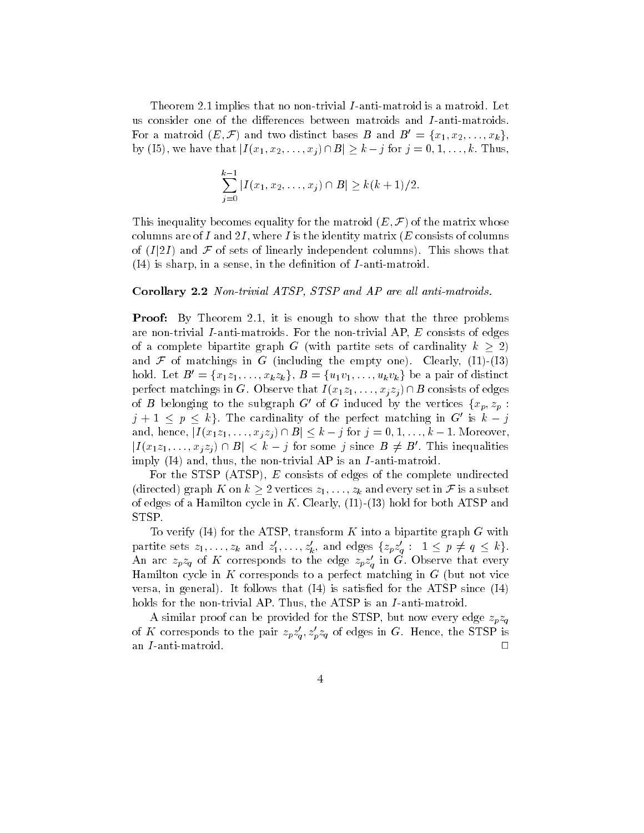— in the complete theorem is a matrixial in the matrix of the state is anticoderation of  $\mathbb{R}^n$ us consider one of the differences between matroids and  $I$ -anti-matroids. For a matroid  $(E, \mathcal{F})$  and two distinct bases  $B$  and  $B = \{x_1, x_2, \ldots, x_k\},\$ by I we have that <sup>j</sup><sup>I</sup> x- x-- -xj Bj k <sup>j</sup> for <sup>j</sup> - - - k Thus

$$
\sum_{j=0}^{k-1} |I(x_1, x_2, \dots, x_j) \cap B| \ge k(k+1)/2.
$$

**This inequality becomes equally for the matrix (D**  $\mu$ **)** or the matrix whose columns are of I and 2I, where I is the identity matrix ( $E$  consists of columns of I just a column state of the shows that is shown to an and the shows that is a short of the shows that is a  $(I4)$  is sharp, in a sense, in the definition of *I*-anti-matroid.

### $\sim$  or once  $\alpha$  is an algebra and  $\alpha$  and  $\alpha$  and  $\alpha$  and  $\alpha$  and  $\alpha$  are all and  $\alpha$

process by the state and the three problems that the three problems the state of  $\mathcal{P}$ are nontrivial I anticometer and the non-increased and  $\mathbf{r} = \mathbf{r}$  and  $\mathbf{r} = \mathbf{r}$ of a complete bipartite graph G (with partite sets of cardinality  $k > 2$ ) and F or matchings in G including the empty site of the its in  $\mathcal{C}$ hold. Let  $D = \{x_1z_1, \ldots, x_kz_k\}, D = \{u_1v_1, \ldots, u_kv_k\}$  be a pair of distinct  $p$  or recommissions of  $\alpha$  . Observe that  $I_{\alpha}[x_1, \ldots, x_n]$  is the consister of edges of  $B$  belonging to the subgraph  $G$  of  $G$  induced by the vertices  $\{x_p, z_p\}$ :  $\eta + 1 \leq \eta \leq \kappa$  . The cardinality of the perfect matching in  $G$  is  $\kappa - \eta$  $\alpha$ i  $\alpha$  i  $\alpha$  is a state in the interval in the interval interval interval interval interval interval interval interval interval interval interval interval interval interval interval interval interval interval interva  $|I(x_1z_1,\ldots,x_ix_j)|+|B| < \kappa - j$  for some j since  $B \neq B$ . This inequalities imply  $(14)$  and, thus, the non-trivial AP is an *I*-anti-matroid.

For the STSP  $(ATSP)$ , E consists of edges of the complete undirected  $\alpha$  and every graph  $\alpha$  is a subset in F is a subset in F is a subset in F is a subset in F is a subset in F is a subset in F is a subset in F is a subset in F is a subset in F is a subset in F is a subset in F is a sub of edges of a Hamilton cycle in Kiching, III, III, III and hold for and  $\sim$  ${\rm STSP}.$ 

To verify  $(14)$  for the ATSP, transform K into a bipartite graph G with partitie sets  $z_1,\ldots,z_k$  and  $z_1,\ldots,z_k$ , and edges  $\{z_pz_q:\;1\leq p\neq q\leq \kappa\}$ . An arc  $z_p z_q$  of K corresponds to the edge  $z_p z_q$  in G. Observe that every Hamilton cycle in  $K$  corresponds to a perfect matching in  $G$  (but not vice versa in general- It follows that I is satised for the ATSP since I holds for the nontrivial AP- Thus the ATSP is an <sup>I</sup> antimatroid-

A similar proof can be provided for the STSP, but now every edge  $z_p z_q$ of  $\Lambda$  corresponds to the pair  $z_p z_q, z_p z_q$  of edges in G. Hence, the STSP is an  $I$ -anti-matroid.  $\Box$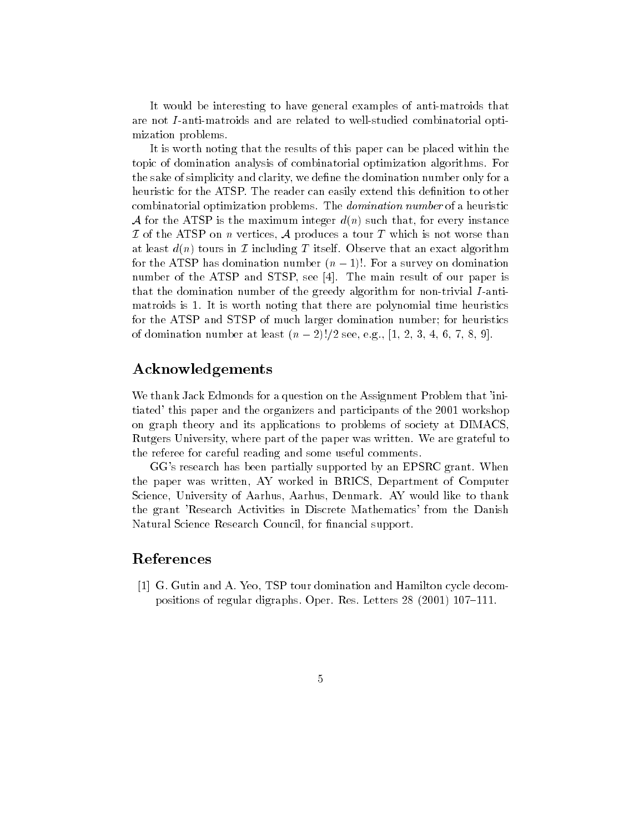It would be interesting to have general examples of anti-matroids that are not  $I$ -anti-matroids and are related to well-studied combinatorial optimization problems-

It is worth noting that the results of this paper can be placed within the topic of domination analysis of combinatorial optimization algorithms- For the sake of simplicity and clarity we dene the domination number only for a heuristic for the ATSP- The reader can easily extend this denition to other combinatorial optimization problems- The domination number of a heuristic A for the ATSP is the maximum integer  $d(n)$  such that, for every instance  ${\cal I}$  of the ATSP on n vertices,  ${\cal A}$  produces a tour  $T$  which is not worse than at least  $\alpha_1$  if itself-called the strenger that an exact algorithment and an exact an exact algorithment. for the ATSP has domination number <sup>n</sup> - For a survey on domination number of the ATSP and STSP see International results of our paper is and the main result of our paper is a se that the domination number of the greedy algorithm for non-trivial I-antimatroids is  $\mathbf{I}$  is worth noting that there are polynomial time heuristics  $\mathbf{I}$ for the ATSP and STSP of much larger domination number; for heuristics  $\cdot$  , and the set of domination  $\cdot$  , and  $\cdot$  , and  $\cdot$  , and  $\cdot$  , and  $\cdot$  , and  $\cdot$  , and  $\cdot$  , and  $\cdot$  , and

## Acknowledgements

We thank Jack Edmonds for a question on the Assignment Problem that 'initiated' this paper and the organizers and participants of the 2001 workshop on graph theory and its applications to problems of society at DIMACS Rutgers University where part of the paper was written- We are grateful to the referee for careful reading and some useful comments-

Ges research has been particularly supported by an EPSRC grant-company and  $\mathbb{R}^n$ the paper was written, AY worked in BRICS, Department of Computer Science University of Aarhus Aarhus Denmark- AY would like to thank the grant 'Research Activities in Discrete Mathematics' from the Danish Natural Science Research Council, for financial support.

### References

 G- Gutin and A- Yeo TSP tour domination and Hamilton cycle decom positions of regular digraphs- Oper- Res- Letters   -